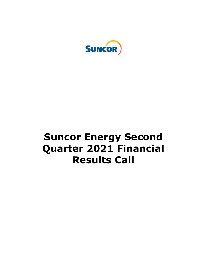

# **Suncor Energy Second Quarter 2021 Financial Results Call**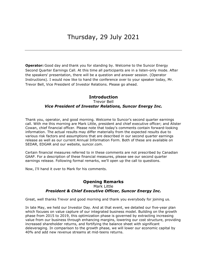**Operator:** Good day and thank you for standing by. Welcome to the Suncor Energy Second Quarter Earnings Call. At this time all participants are in a listen-only mode. After the speakers' presentation, there will be a question and answer session. (Operator Instructions). I would now like to hand the conference over to your speaker today, Mr. Trevor Bell, Vice President of Investor Relations. Please go ahead.

#### **Introduction**

#### Trevor Bell

#### *Vice President of Investor Relations, Suncor Energy Inc.*

 Thank you, operator, and good morning. Welcome to Suncor's second quarter earnings call. With me this morning are Mark Little, president and chief executive officer; and Alister Cowan, chief financial officer. Please note that today's comments contain forward-looking information. The actual results may differ materially from the expected results due to various risk factors and assumptions that are described in our second quarter earnings release as well as our current Annual Information Form. Both of these are available on SEDAR, EDGAR and our website, [suncor.com](https://suncor.com).

 Certain financial measures referred to in these comments are not prescribed by Canadian GAAP. For a description of these financial measures, please see our second quarter earnings release. Following formal remarks, we'll open up the call to questions.

Now, I'll hand it over to Mark for his comments.

### **Opening Remarks**

## Mark Little  *President & Chief Executive Officer, Suncor Energy Inc.*

Great, well thanks Trevor and good morning and thank you everybody for joining us.

 In late May, we held our Investor Day. And at that event, we detailed our five-year plan which focuses on value capture of our integrated business model. Building on the growth phase from 2015 to 2019, this optimization phase is governed by extracting increasing value from our business through enhancing margins, lowering our cost structure, providing increased shareholder returns, and fortifying the balance sheet with significant deleveraging. In comparison to the growth phase, we will lower our economic capital by 40% and add new revenue streams at mid-teens returns.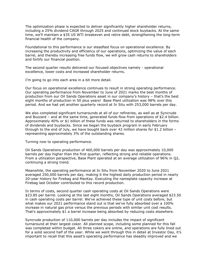The optimization phase is expected to deliver significantly higher shareholder returns, including a 25% dividend CAGR through 2025 and continued stock buybacks. At the same time, we'll maintain a \$35 US WTI breakeven and retire debt, strengthening the long-term financial health of the company.

 Foundational to this performance is our steadfast focus on operational excellence. By increasing the productivity and efficiency of our operations, optimizing the value of each barrel, and thereby increasing free funds flow, we will grow cash returns to shareholders and fortify our financial position.

 The second quarter results delivered our focused objectives namely - operational excellence, lower costs and increased shareholder returns.

I'm going to go into each area in a bit more detail.

 Our focus on operational excellence continues to result in strong operating performance. Our operating performance from November to June of 2021 marks the best months of production from our Oil Sands Operations asset in our company's history – that's the best eight months of production in 50 plus years! Base Plant utilization was 98% over this period. And we had yet another quarterly record at In Situ with 253,000 barrels per day.

 We also completed significant turnarounds at all of our refineries, as well as at Syncrude and Buzzard – and at the same time, generated funds flow from operations of \$2.4 billion. Approximately 40% or \$1 billion of these funds was returned to shareholders in the forms of dividends and buybacks. Since we began the buyback program in early February through to the end of July, we have bought back over 42 million shares for \$1.2 billion – representing approximately 3% of the outstanding shares.

Turning now to operating performance.

 Oil Sands Operations production of 460,000 barrels per day was approximately 10,000 barrels per day higher than the first quarter, reflecting strong and reliable operations. From a utilization perspective, Base Plant operated at an average utilization of 96% in Q2, continuing a strong trend.

 Meanwhile, the operating performance at In Situ from November 2020 to June 2021 averaged 250,000 barrels per day, making it the highest daily production period in nearly 20-year history for Firebag and MacKay. Executing the nameplate capacity increase at Firebag last October contributed to this record production.

 In terms of costs, second quarter cash operating costs at Oil Sands Operations were \$23.85 per barrel. Looking at the last eight months, Oil Sands Operations averaged \$23.50 in cash operating costs per barrel. We've achieved these type of unit costs before, but what makes our 2021 performance stand out is that we've fully absorbed over a 100% increase in natural gas price versus the previous periods with similar unit cost results. That's approximately \$1 a barrel increase being absorbed by reducing costs elsewhere.

 Syncrude production of 110,000 barrels per day includes the impact of significant turnaround at their largest coker. All planned scope, including some planned for this fall was completed within budget. All three cokers are online, and operations are fully lined out for a solid second half of the year. While we went through this in detail at Investor Day, it's important to recall that this asset's operating performance has steadily improved and we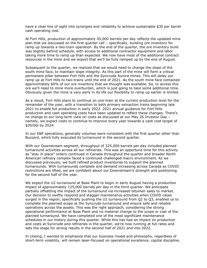have a clear line of sight into synergies and reliability to achieve sustainable \$30 per barrel cash operating cost.

 At Fort Hills, production of approximately 45,000 barrels per day reflects the updated mine plan that we discussed on the first quarter call – specifically, building ore inventory for ramp up towards a two-train operation. By the end of the quarter, the ore inventory build was slightly behind schedule, with access to additional contractor equipment and labor taking more time to ramp up than expected. We now have most of the additional contract resources in the mine and we expect that we'll be fully ramped up by the end of August.

 Subsequent to the quarter, we realized that we would need to change the slope of the south mind face, to maintain slope integrity. As this part of the mine will form a critical permanent pillar between Fort Hills and the Syncrude Aurora mines. This will delay our ramp up at Fort Hills to two-trains until the end of 2021. As the south mine face contained approximately 60% of our ore inventory that we thought was available. So, to access this ore we'll need to mine more overburden, which is just going to take some additional time. Obviously given the mine is very early in its life our flexibility to ramp up earlier is limited.

 As a result, Fort Hills plans to continue on one-train at the current production level for the remainder of the year, with a transition to both primary extraction trains beginning late 2021 to enable full production in early 2022. 2021 annual guidance for Fort Hills production and cash operating costs have been updated to reflect these changes. There's no change to our long-term view on costs as discussed at our May 26 Investor Day – namely, we expect costs to continue to improve every year towards a cash cost target of \$20/bbl by 2024.

 In our E&P operations, generally volumes were consistent with the first quarter other than Buzzard, which fully executed its turnaround in the second quarter.

 With our Downstream segment, throughput of 325,000 barrels per day included planned turnaround activities across all our refineries. This was an opportune time for this activity as "stay in place" orders continued in Canada throughout the quarter and broader North American refinery complex faced a continued challenged macro environment. As we discussed previously, we built refined product inventories to support the planned turnarounds. With turnarounds complete and demand increasing across Canada as COVID restrictions are lifted, we are confident about our Downstream's strength and positioning for the second half of the year.

 We expect the U2 turnaround at Base Plant to begin in early August having a production impact of approximately 125,000 barrels per day in the third quarter. We anticipate partially offsetting the impact of the turnaround via increased bitumen sales to market. Our decision to swiftly respond and stagger maintenance activities when COVID cases surged in the region, specifically pushing the U2 turnaround from Q2 to Q3, enabled us to complete the planned scope at the Syncrude turnaround and ensure safe and reliable operations across the assets. This was the right approach, considering the strong operational performance at Base Plant and no material change to the scope or cost of the planned turnaround. We have completed one of the most significant maintenance schedules in our history during this quarter. While this has had an impact on production and costs at Syncrude and refineries in the quarter, we're now running at full rates and sets the stage for strong results in the second half of 2021 and into 2022.

 In closing, I wanted to emphasize that our business model and philosophy, regardless of short-term volatility, will remain laser-focused on operational excellence, capital discipline,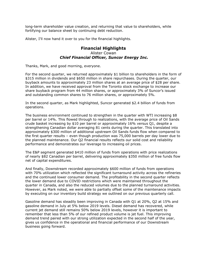long-term shareholder value creation, and returning that value to shareholders, while fortifying our balance sheet by continuing debt reduction.

Alister, I'll now hand it over to you for the financial highlights.

## Alister Cowan  *Chief Financial Officer, Suncor Energy Inc.*  **Financial Highlights**

Thanks, Mark, and good morning, everyone.

 For the second quarter, we returned approximately \$1 billion to shareholders in the form of \$315 million in dividends and \$650 million in share repurchases. During the quarter, our buyback amounts to approximately 23 million shares at an average price of \$28 per share. In addition, we have received approval from the Toronto stock exchange to increase our share buyback program from 44 million shares, or approximately 3% of Suncor's issued and outstanding common shares to 76 million shares, or approximately 5%.

 In the second quarter, as Mark highlighted, Suncor generated \$2.4 billion of funds from operations.

operations.<br>The business environment continued to strengthen in the quarter with WTI increasing \$8 per barrel or 14%. This flowed through to realizations, with the average price of Oil Sands crude basket increasing by \$10 per barrel or approximately 16% versus Q1, despite a strengthening Canadian dollar averaging 81 cents during the quarter. This translated into approximately \$300 million of additional upstream Oil Sands funds flow when compared to the first quarter results – even though production was 75,000 barrels per day lower due to the planned maintenance. Our Q2 financial results reflects our solid cost and reliability performance and demonstrates our leverage to increasing oil prices.

 The E&P segment generated \$410 million of funds from operations with price realizations of nearly \$82 Canadian per barrel, delivering approximately \$350 million of free funds flow net of capital expenditures.

 And finally, Downstream recorded approximately \$600 million of funds from operations with 70% utilization which reflected the significant turnaround activity across the refineries and the continued lower consumer demand. The profitability in the second quarter reflects the lower demand due to COVID restrictions which were maintained throughout the quarter in Canada, and also the reduced volumes due to the planned turnaround activities. However, as Mark noted, we were able to partially offset some of the maintenance impacts by executing on our inventory build strategy we outlined on our previous quarterly call.

 Gasoline demand has steadily been improving in Canada with Q1 at 20%, Q2 at 15% and gasoline demand in July at 5% below 2019 levels. Diesel demand has recovered, while current jet demand still remains 50% below 2019 levels, however it is important to remember that less than 5% of our refined product volume is jet fuel. This improving demand trend paired with our strong utilization expected in the second half of the year, gives us confidence in the operational and financial performance of our Downstream business going forward.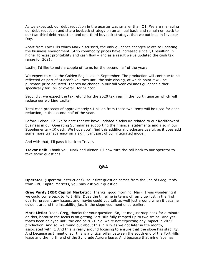As we expected, our debt reduction in the quarter was smaller than Q1. We are managing our debt reduction and share buyback strategy on an annual basis and remain on track to our two-third debt reduction and one-third buyback strategy, that we outlined in Investor Day.

 Apart from Fort Hills which Mark discussed, the only guidance changes relate to updating the business environment. Strip commodity prices have increased since Q1 resulting in higher forecast profitability and cash flow – and as a result we've updated the cash tax range for 2021.

Lastly, I'd like to note a couple of items for the second half of the year:

 We expect to close the Golden Eagle sale in September. The production will continue to be reflected as part of Suncor's volumes until the sale closing, at which point it will be purchase price adjusted. There's no change in our full year volumes guidance either, specifically for E&P or overall, for Suncor.

 Secondly, we expect the tax refund for the 2020 tax year in the fourth quarter which will reduce our working capital.

 Total cash proceeds of approximately \$1 billion from these two items will be used for debt reduction, in the second half of the year.

 Before I close, I'd like to note that we have updated disclosure related to our Rackforward business in our Operating Summaries supporting the financial statements and also in our Supplementary IR deck. We hope you'll find this additional disclosure useful, as it does add some more transparency on a significant part of our integrated model.

And with that, I'll pass it back to Trevor.

 **Trevor Bell:** Thank you, Mark and Alister. I'll now turn the call back to our operator to take some questions.

#### **Q&A**

**Q&A**<br>**Operator:** (Operator instructions). Your first question comes from the line of Greg Pardy from RBC Capital Markets, you may ask your question.

 **Greg Pardy (RBC Capital Markets):** Thanks, good morning. Mark, I was wondering if we could come back to Fort Hills. Does the timeline in terms of ramp up just in the first quarter present any issues, and maybe could you talk as well just around when it became evident around the instability, just in the slope you mentioned earlier.

 **Mark Little:** Yeah, Greg, thanks for your question. So, let me just step back for a minute on this, because the focus is on getting Fort Hills fully ramped up to two-trains. And yes, that's been delayed until the end of 2021. So, we're not expecting any impact in 2022 production. And so, we found out about this in July as we got later in the month, associated with it. And this is really around focusing to ensure that the slope has stability. And because as I mentioned, this is a critical pillar between the south end of the Fort Hills lease and the north end of the Syncrude Aurora lease. And because that mine face has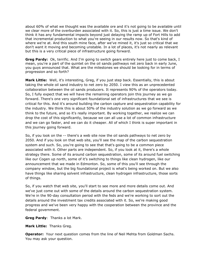about 60% of what we thought was the available ore and it's not going to be available until we clear more of the overburden associated with it. So, this is just a time issue. We don't think it has any fundamental impacts beyond just delaying the ramp up of Fort Hills to add that incremental production to what you're seeing in our results now. So that's kind of where we're at. And this south mine face, after we've mined it, it's just so critical that we don't want it moving and becoming unstable. In a lot of places, it's not nearly as relevant but this is a very critical piece of infrastructure going forward.

 **Greg Pardy:** Ok, terrific. And I'm going to switch gears entirely here just to come back, I mean, you're a part of the quintet on the oil sands pathways net zero back in early June, you guys announced that. What are the milestones we should be looking for in terms of progression and so forth?

 **Mark Little:** Well, it's interesting, Greg, if you just step back. Essentially, this is about taking the whole oil sand industry to net zero by 2050. I view this as an unprecedented collaboration between the oil sands producers. It represents 90% of the operators today. So, I fully expect that we will have the remaining operators join this journey as we go forward. There's one very significant foundational set of infrastructures that we see is critical for this. And it's around building the carbon capture and sequestration capability for the industry. We think this is about 50% of the industry solution as we go forward as we think to the future, and so it's really important. By working together, we realize we can drop the cost of this significantly, because we can all use a lot of common infrastructure and we can go faster, and we can do it cheaper. All of which I think is super important in this journey going forward.

 So, if you look on the -- there's a web site now the oil sands pathways to net zero by 2050. And if you look on that web site, you'll see the map of the carbon sequestration system and such. So, you're going to see that that's going to be a common piece associated with it. Other parts are independent. So, if you look at it, there's a whole strategy there. Some of its around carbon sequestration, some of its around fuel switching like our Cogen up north, some of it's switching to things like clean hydrogen, like our announcement that we made in Edmonton. So, some of this you'll see through the company window, but the big foundational project is what's being worked on. But we also have things like sharing solvent infrastructure, clean hydrogen infrastructure, those sorts of things.

 So, if you watch that web site, you'll start to see more and more details come out. And we've just come out with some of the details around the carbon sequestration system. We're in the 90-day consultation period with the feds and we're working to sort out the details around the investment tax credits associated with it. So, we're making good progress and we've been very happy with the cooperation between the province and the federal government.

**Greg Pardy**: Thanks a lot Mark.

**Mark Little:** Thanks Greg.

 **Operator:** Your next question comes from the line of Neil Mehta from Goldman Sachs. You may ask your question.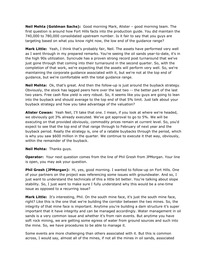**Neil Mehta (Goldman Sachs):** Good morning Mark, Alister – good morning team. The first question is around how Fort Hills facts into the production guide. You did maintain the 740,000 to 780,000 consolidated upstream number. Is it fair to say that you guys are targeting based on what you know right now, the low end of the guidance range?

 **Mark Little:** Yeah, I think that's probably fair, Neil. The assets have performed very well as I went through in my prepared remarks. You're seeing the oil sands year-to-date, it's in the high 90s utilization. Syncrude has a proven strong record post turnaround that we've just gone through that coming into their turnaround in the second quarter. So, with the completion of that work, we're expecting that the assets will perform very well. So, we're maintaining the corporate guidance associated with it, but we're not at the top end of guidance, but we're comfortable with the total guidance range.

 **Neil Mehta:** Ok, that's great. And then the follow-up is just around the buyback strategy. Obviously, the stock has lagged peers here over the last two -- the better part of the last two years. Free cash flow yield is very robust. So, it seems like you guys are going to lean into the buyback and should average to the top end of that 5% limit. Just talk about your buyback strategy and how you take advantage of the valuation?

 **Alister Cowan:** Yeah Neil, I'll take that one. I mean, if you look at where we're headed, we obviously got 3% already executed. We've got approval to go to 5%. We will be executing on that provided obviously, commodity prices remain at current level. So, you'd expect to see that the top end of that range through to February of next year and the buyback period. Really the strategy is, one of a ratable buybacks through the period, which is why you saw \$600 million in the quarter. We continue to execute it that way, obviously, within the remainder of the buyback.

#### **Neil Mehta:** Thanks guys.

 **Operator:** Your next question comes from the line of Phil Gresh from JPMorgan. Your line is open, you may ask your question.

 **Phil Gresh (JPMorgan):** Hi, yes, good morning. I wanted to follow-up on Fort Hills. One of your partners on the project was referencing some issues with groundwater. And so, I just want to understand the technicals of this a little bit better. You're talking about slope stability. So, I just want to make sure I fully understand why this would be a one-time issue as opposed to a recurring issue?

 **Mark Little:** It's interesting, Phil. On the south mine face, it's just the south mine face, right? Like this is the one that we're building the corridor between the two mines. So, the integrity of that mine face is important. Anytime you're building a dam structure it's super important that it have integrity and can be managed accordingly. Water management in oil sands is a very common issue and whether it's from rain events. But anytime you have soft rock mining, we are getting some egress of water from ground sources and such into the mine. So, we have procedures to be able to manage it.

 Some events are more challenging than others associated with it. But this is common across, I would say, almost all of the mines, if not all the mines in oil sands, associated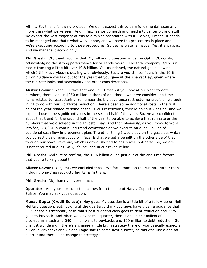with it. So, this is following protocol. We don't expect this to be a fundamental issue any more than what we've seen. And in fact, as we go north and head into center pit and stuff, we expect the vast majority of this to diminish associated with it. So yes, I mean, it needs to be managed and that's what we've done, and we have the procedures in place and we're executing according to those procedures. So yes, is water an issue. Yes, it always is. And we manage it accordingly.

**Phil Gresh:** Ok, thank you for that. My follow-up question is just on OpEx. Obviously, acknowledging the strong performance for oil sands overall. The total company OpEx run rate is tracking a little bit over 10.8 billion. You mentioned, the natural gas headwinds, which I think everybody's dealing with obviously. But are you still confident in the 10.6 billion guidance you laid out for the year that you gave at the Analyst Day, given where the run rate looks and seasonality and other considerations?

 **Alister Cowan:** Yeah, I'll take that one Phil. I mean if you look at our year-to-date numbers, there's about \$250 million in there of one time – what we consider one-time items related to restructuring, remember the big severance restructuring provision we took in Q1 to do with our workforce reduction. There's been some additional costs in the first half of the year related to some of the COVID restrictions, they're obviously easing, and we expect those to be significantly less in the second half of the year. So, we are confident about that trend for the second half of the year to be able to achieve that run rate or the numbers that we disclosed in the Investor Day. And then obviously, as you move forward into '22, '23, '24, a continuing trend downwards as we execute on our \$2 billion of additional cash flow improvement plan. The other thing I would say on the gas side, which you correctly said, everybody will face, is that we get a benefit on the other side of that through our power revenue, which is obviously tied to gas prices in Alberta. So, we are -- is not captured in our OS&G, it's included in our revenue line.

 **Phil Gresh:** And just to confirm, the 10.6 billion guide just out of the one-time factors that you're talking about?

 **Alister Cowan:** Yes, Phil, we excluded those. We focus more on the run rate rather than including one-time restructuring items in there.

**Phil Gresh:** Ok, thank you very much.

 **Operator:** And your next question comes from the line of Manav Gupta from Credit Suisse. You may ask your question.

 **Manav Gupta (Credit Suisse):** Hey guys. My question is a little bit of a follow-up on Neil Mehta's question. But, looking at the quarter, I think you guys have given a guidance that 66% of the discretionary cash that's post dividend cash goes to debt reduction and 33% goes to buyback. And when we look at this quarter, there's about 750 million of discretionary cash and 640 million went to buybacks and 100 million to debt reduction. So I'm just wondering if there's a change a little bit in strategy there or you basically expect a billion in kickbacks and Golden Eagle sale to come next quarter, so this was just a one off quarter and there is no change to strategy?